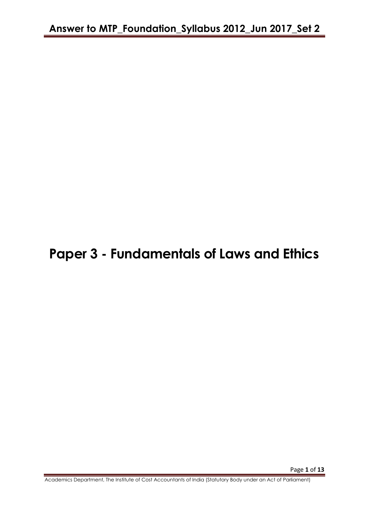# **Paper 3 - Fundamentals of Laws and Ethics**

Academics Department, The Institute of Cost Accountants of India (Statutory Body under an Act of Parliament)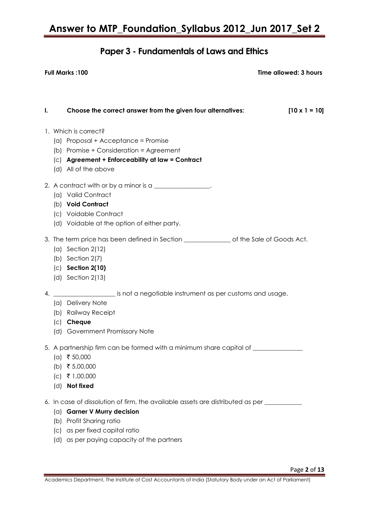## **Paper 3 - Fundamentals of Laws and Ethics**

**Full Marks :100 Time allowed: 3 hours**

**I. Choose the correct answer from the given four alternatives: [10 x 1 = 10]** 1. Which is correct? (a) Proposal + Acceptance = Promise (b) Promise + Consideration = Agreement (c) **Agreement + Enforceability at law = Contract**  (d) All of the above 2. A contract with or by a minor is a \_\_\_\_\_\_\_\_\_\_\_\_\_\_\_\_. (a) Valid Contract (b) **Void Contract**  (c) Voidable Contract (d) Voidable at the option of either party. 3. The term price has been defined in Section \_\_\_\_\_\_\_\_\_\_\_\_\_\_\_ of the Sale of Goods Act. (a) Section 2(12) (b) Section 2(7) (c) **Section 2(10)**  (d) Section 2(13) 4. \_\_\_\_\_\_\_\_\_\_\_\_\_\_\_\_\_\_\_\_\_\_\_ is not a negotiable instrument as per customs and usage. (a) Delivery Note (b) Railway Receipt (c) **Cheque**  (d) Government Promissory Note 5. A partnership firm can be formed with a minimum share capital of \_\_\_\_\_\_\_\_\_\_\_\_  $(a)$  ₹ 50,000 (b) ₹ 5,00,000  $(c)$  ₹ 1,00,000 (d) **Not fixed** 6. In case of dissolution of firm, the available assets are distributed as per \_\_\_\_\_\_\_\_\_\_\_\_ (a) **Garner V Murry decision**  (b) Profit Sharing ratio (c) as per fixed capital ratio (d) as per paying capacity of the partners

Academics Department, The Institute of Cost Accountants of India (Statutory Body under an Act of Parliament)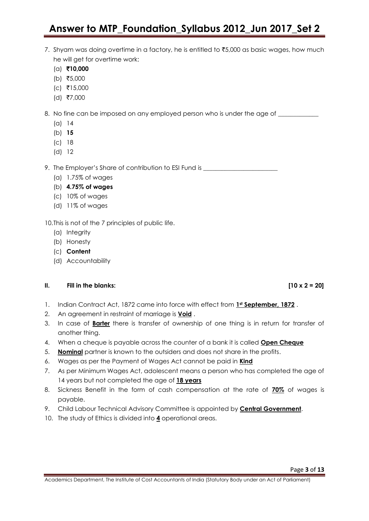- 7. Shyam was doing overtime in a factory, he is entitled to  $\overline{5,000}$  as basic wages, how much he will get for overtime work:
	- (a) `**10,000**
	- (b) ₹5,000
	- $(c)$  ₹15,000
	- $(d)$  ₹7,000

8. No fine can be imposed on any employed person who is under the age of \_\_\_\_\_\_\_\_

- (a) 14
- (b) **15**
- (c) 18
- (d) 12

9. The Employer's Share of contribution to ESI Fund is \_\_\_\_\_\_\_\_\_\_\_\_\_\_\_\_\_\_\_\_\_\_\_\_\_

- (a) 1.75% of wages
- (b) **4.75% of wages**
- (c) 10% of wages
- (d) 11% of wages

10.This is not of the 7 principles of public life.

- (a) Integrity
- (b) Honesty
- (c) **Content**
- (d) Accountability

#### **II. Fill in the blanks: [10 x 2 = 20]**

- 1. Indian Contract Act, 1872 came into force with effect from **1st September, 1872** .
- 2. An agreement in restraint of marriage is **Void** .
- 3. In case of **Barter** there is transfer of ownership of one thing is in return for transfer of another thing.
- 4. When a cheque is payable across the counter of a bank it is called **Open Cheque**
- 5. **Nominal** partner is known to the outsiders and does not share in the profits.
- 6. Wages as per the Payment of Wages Act cannot be paid in **Kind**
- 7. As per Minimum Wages Act, adolescent means a person who has completed the age of 14 years but not completed the age of **18 years**
- 8. Sickness Benefit in the form of cash compensation at the rate of **70%** of wages is payable.
- 9. Child Labour Technical Advisory Committee is appointed by **Central Government**.
- 10. The study of Ethics is divided into **4** operational areas.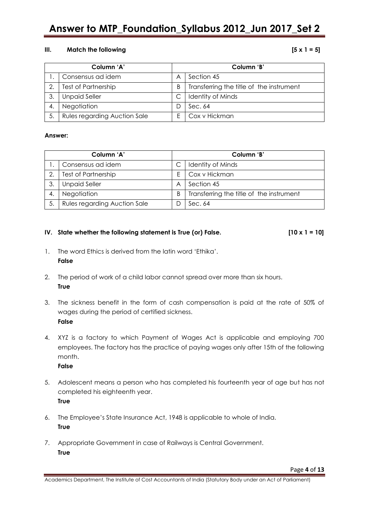#### **III. Match the following**  $[5 \times 1 = 5]$

| Column 'A' |                                     | Column 'B' |                                          |
|------------|-------------------------------------|------------|------------------------------------------|
|            | Consensus ad idem                   | A          | Section 45                               |
| 2.         | Test of Partnership                 | В          | Transferring the title of the instrument |
| 3.         | <b>Unpaid Seller</b>                |            | Identity of Minds                        |
| 4.         | Negotiation                         |            | Sec. 64                                  |
| 5.         | <b>Rules regarding Auction Sale</b> |            | Cox v Hickman                            |

#### **Answer:**

| Column 'A' |                              | Column 'B' |                                          |
|------------|------------------------------|------------|------------------------------------------|
|            | Consensus ad idem            |            | Identity of Minds                        |
| 2.         | Test of Partnership          | F.         | Cox v Hickman                            |
| 3.         | <b>Unpaid Seller</b>         | A          | Section 45                               |
| 4.         | Negotiation                  | B          | Transferring the title of the instrument |
| 5.         | Rules regarding Auction Sale |            | Sec. 64                                  |

#### **IV. State whether the following statement is True (or) False. [10 x 1 = 10]**

- 1. The word Ethics is derived from the latin word "Ethika". **False**
- 2. The period of work of a child labor cannot spread over more than six hours. **True**
- 3. The sickness benefit in the form of cash compensation is paid at the rate of 50% of wages during the period of certified sickness. **False**
- 4. XYZ is a factory to which Payment of Wages Act is applicable and employing 700 employees. The factory has the practice of paying wages only after 15th of the following month.

**False**

- 5. Adolescent means a person who has completed his fourteenth year of age but has not completed his eighteenth year. **True**
- 6. The Employee"s State Insurance Act, 1948 is applicable to whole of India. **True**
- 7. Appropriate Government in case of Railways is Central Government. **True**

Academics Department, The Institute of Cost Accountants of India (Statutory Body under an Act of Parliament)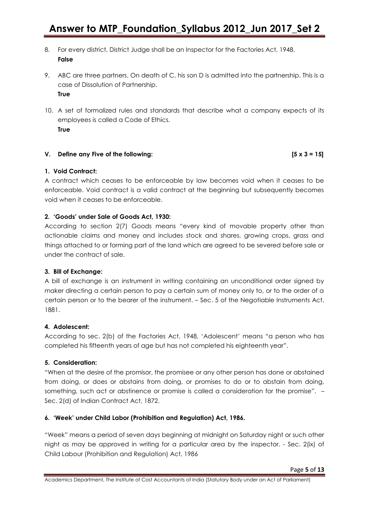- 8. For every district, District Judge shall be an Inspector for the Factories Act, 1948. **False**
- 9. ABC are three partners. On death of C, his son D is admitted into the partnership. This is a case of Dissolution of Partnership. **True**
- 10. A set of formalized rules and standards that describe what a company expects of its employees is called a Code of Ethics. **True**

#### **V. Define any Five of the following: [5 x 3 = 15]**

### **1. Void Contract:**

A contract which ceases to be enforceable by law becomes void when it ceases to be enforceable. Void contract is a valid contract at the beginning but subsequently becomes void when it ceases to be enforceable.

#### **2. 'Goods' under Sale of Goods Act, 1930:**

According to section 2(7) Goods means "every kind of movable property other than actionable claims and money and includes stock and shares, growing crops, grass and things attached to or forming part of the land which are agreed to be severed before sale or under the contract of sale.

#### **3. Bill of Exchange:**

A bill of exchange is an instrument in writing containing an unconditional order signed by maker directing a certain person to pay a certain sum of money only to, or to the order of a certain person or to the bearer of the instrument. – Sec. 5 of the Negotiable Instruments Act, 1881.

#### **4. Adolescent:**

According to sec. 2(b) of the Factories Act, 1948, "Adolescent" means "a person who has completed his fifteenth years of age but has not completed his eighteenth year".

### **5. Consideration:**

"When at the desire of the promisor, the promisee or any other person has done or abstained from doing, or does or abstains from doing, or promises to do or to abstain from doing, something, such act or abstinence or promise is called a consideration for the promise". – Sec. 2(d) of Indian Contract Act, 1872.

### **6. 'Week' under Child Labor (Prohibition and Regulation) Act, 1986.**

"Week" means a period of seven days beginning at midnight on Saturday night or such other night as may be approved in writing for a particular area by the inspector. - Sec. 2(ix) of Child Labour (Prohibition and Regulation) Act, 1986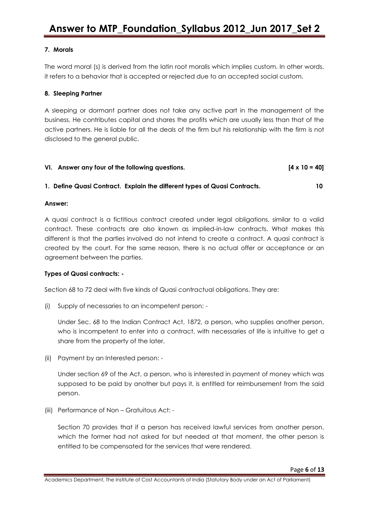### **7. Morals**

The word moral (s) is derived from the latin root moralis which implies custom. In other words, it refers to a behavior that is accepted or rejected due to an accepted social custom.

#### **8. Sleeping Partner**

A sleeping or dormant partner does not take any active part in the management of the business. He contributes capital and shares the profits which are usually less than that of the active partners. He is liable for all the deals of the firm but his relationship with the firm is not disclosed to the general public.

#### **VI. Answer any four of the following questions. [4 x 10 = 40]**

#### **1. Define Quasi Contract. Explain the different types of Quasi Contracts. 10**

#### **Answer:**

A quasi contract is a fictitious contract created under legal obligations, similar to a valid contract. These contracts are also known as implied-in-law contracts. What makes this different is that the parties involved do not intend to create a contract. A quasi contract is created by the court. For the same reason, there is no actual offer or acceptance or an agreement between the parties.

#### **Types of Quasi contracts: -**

Section 68 to 72 deal with five kinds of Quasi contractual obligations. They are:

(i) Supply of necessaries to an incompetent person: -

Under Sec. 68 to the Indian Contract Act, 1872, a person, who supplies another person, who is incompetent to enter into a contract, with necessaries of life is intuitive to get a share from the property of the later.

(ii) Payment by an Interested person: -

Under section 69 of the Act, a person, who is interested in payment of money which was supposed to be paid by another but pays it, is entitled for reimbursement from the said person.

(iii) Performance of Non – Gratuitous Act: -

Section 70 provides that if a person has received lawful services from another person, which the former had not asked for but needed at that moment, the other person is entitled to be compensated for the services that were rendered.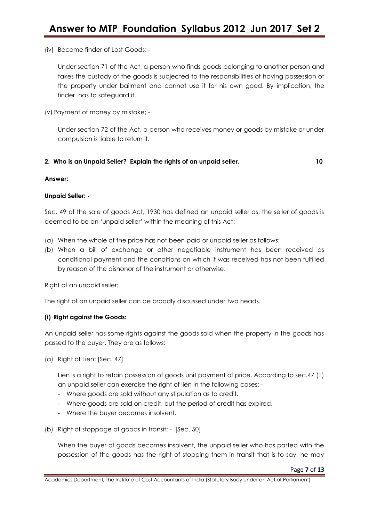(iv) Become finder of Lost Goods: -

Under section 71 of the Act, a person who finds goods belonging to another person and takes the custody of the goods is subjected to the responsibilities of having possession of the property under bailment and cannot use it for his own good. By implication, the finder has to safeguard it.

(v)Payment of money by mistake; -

Under section 72 of the Act, a person who receives money or goods by mistake or under compulsion is liable to return it.

#### **2. Who is an Unpaid Seller? Explain the rights of an unpaid seller. 10**

#### **Answer:**

#### **Unpaid Seller: -**

Sec. 49 of the sale of goods Act, 1930 has defined an unpaid seller as, the seller of goods is deemed to be an "unpaid seller" within the meaning of this Act:

- (a) When the whole of the price has not been paid or unpaid seller as follows:
- (b) When a bill of exchange or other negotiable instrument has been received as conditional payment and the conditions on which it was received has not been fulfilled by reason of the dishonor of the instrument or otherwise.

Right of an unpaid seller:

The right of an unpaid seller can be broadly discussed under two heads.

#### **(i) Right against the Goods:**

An unpaid seller has some rights against the goods sold when the property in the goods has passed to the buyer. They are as follows:

(a) Right of Lien: [Sec. 47]

Lien is a right to retain possession of goods unit payment of price. According to sec.47 (1) an unpaid seller can exercise the right of lien in the following cases: -

- Where goods are sold without any stipulation as to credit.
- Where goods are sold on credit, but the period of credit has expired.
- Where the buyer becomes insolvent.
- (b) Right of stoppage of goods in transit: [Sec. 50]

When the buyer of goods becomes insolvent, the unpaid seller who has parted with the possession of the goods has the right of stopping them in transit that is to say, he may

Academics Department, The Institute of Cost Accountants of India (Statutory Body under an Act of Parliament)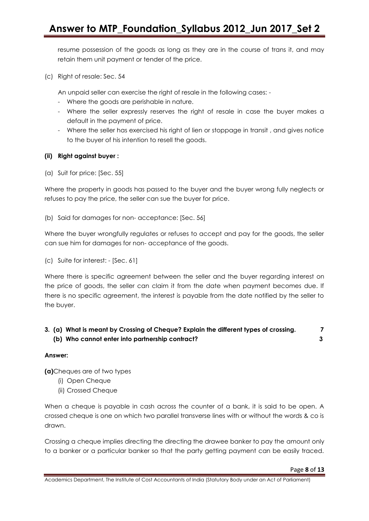resume possession of the goods as long as they are in the course of trans it, and may retain them unit payment or tender of the price.

(c) Right of resale: Sec. 54

An unpaid seller can exercise the right of resale in the following cases: -

- Where the goods are perishable in nature.
- Where the seller expressly reserves the right of resale in case the buyer makes a default in the payment of price.
- Where the seller has exercised his right of lien or stoppage in transit , and gives notice to the buyer of his intention to resell the goods.

#### **(ii) Right against buyer :**

(a) Suit for price: [Sec. 55]

Where the property in goods has passed to the buyer and the buyer wrong fully neglects or refuses to pay the price, the seller can sue the buyer for price.

(b) Said for damages for non- acceptance: [Sec. 56]

Where the buyer wrongfully regulates or refuses to accept and pay for the goods, the seller can sue him for damages for non- acceptance of the goods.

(c) Suite for interest: - [Sec. 61]

Where there is specific agreement between the seller and the buyer regarding interest on the price of goods, the seller can claim it from the date when payment becomes due. If there is no specific agreement, the interest is payable from the date notified by the seller to the buyer.

**3. (a) What is meant by Crossing of Cheque? Explain the different types of crossing. 7 (b) Who cannot enter into partnership contract? 3** 

#### **Answer:**

**(a)**Cheques are of two types

- (i) Open Cheque
- (ii) Crossed Cheque

When a cheque is payable in cash across the counter of a bank, it is said to be open. A crossed cheque is one on which two parallel transverse lines with or without the words & co is drawn.

Crossing a cheque implies directing the directing the drawee banker to pay the amount only to a banker or a particular banker so that the party getting payment can be easily traced.

Academics Department, The Institute of Cost Accountants of India (Statutory Body under an Act of Parliament)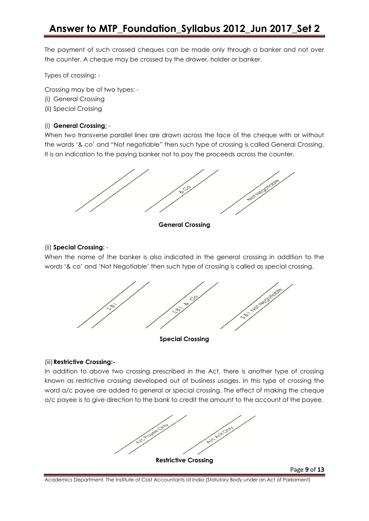The payment of such crossed cheques can be made only through a banker and not over the counter. A cheque may be crossed by the drawer, holder or banker.

Types of crossing: -

Crossing may be of two types: -

- (i) General Crossing
- (ii) Special Crossing

#### (i) **General Crossing**: -

When two transverse parallel lines are drawn across the face of the cheque with or without the words "& co" and "Not negotiable" then such type of crossing is called General Crossing. It is an indication to the paying banker not to pay the proceeds across the counter.



**General Crossing**

#### (ii) **Special Crossing:** -

When the name of the banker is also indicated in the general crossing in addition to the words "& co" and "Not Negotiable" then such type of crossing is called as special crossing.



**Special Crossing**

#### (iii)**Restrictive Crossing:-**

In addition to above two crossing prescribed in the Act, there is another type of crossing known as restrictive crossing developed out of business usages. In this type of crossing the word a/c payee are added to general or special crossing. The effect of making the cheque a/c payee is to give direction to the bank to credit the amount to the account of the payee.



Page **9** of **13**

Academics Department, The Institute of Cost Accountants of India (Statutory Body under an Act of Parliament)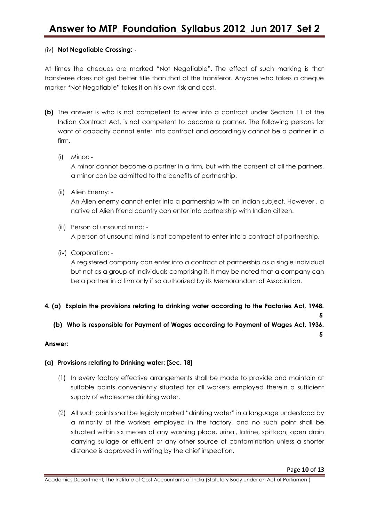#### (iv) **Not Negotiable Crossing: -**

At times the cheques are marked "Not Negotiable". The effect of such marking is that transferee does not get better title than that of the transferor. Anyone who takes a cheque marker "Not Negotiable" takes it on his own risk and cost.

- **(b)** The answer is who is not competent to enter into a contract under Section 11 of the Indian Contract Act, is not competent to become a partner. The following persons for want of capacity cannot enter into contract and accordingly cannot be a partner in a firm.
	- (i) Minor: -

A minor cannot become a partner in a firm, but with the consent of all the partners, a minor can be admitted to the benefits of partnership.

(ii) Alien Enemy: -

An Alien enemy cannot enter into a partnership with an Indian subject. However , a native of Alien friend country can enter into partnership with Indian citizen.

- (iii) Person of unsound mind: A person of unsound mind is not competent to enter into a contract of partnership.
- (iv) Corporation: -

A registered company can enter into a contract of partnership as a single individual but not as a group of Individuals comprising it. It may be noted that a company can be a partner in a firm only if so authorized by its Memorandum of Association.

### **4. (a) Explain the provisions relating to drinking water according to the Factories Act, 1948.**

**(b) Who is responsible for Payment of Wages according to Payment of Wages Act, 1936.**

 **5** 

 **5**

### **Answer:**

### **(a) Provisions relating to Drinking water: [Sec. 18]**

- (1) In every factory effective arrangements shall be made to provide and maintain at suitable points conveniently situated for all workers employed therein a sufficient supply of wholesome drinking water.
- (2) All such points shall be legibly marked "drinking water" in a language understood by a minority of the workers employed in the factory, and no such point shall be situated within six meters of any washing place, urinal, latrine, spittoon, open drain carrying sullage or effluent or any other source of contamination unless a shorter distance is approved in writing by the chief inspection.

Academics Department, The Institute of Cost Accountants of India (Statutory Body under an Act of Parliament)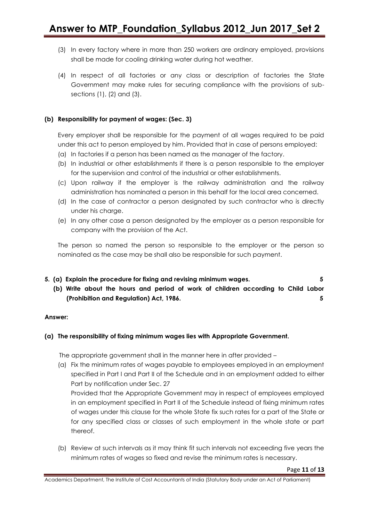- (3) In every factory where in more than 250 workers are ordinary employed, provisions shall be made for cooling drinking water during hot weather.
- (4) In respect of all factories or any class or description of factories the State Government may make rules for securing compliance with the provisions of subsections (1), (2) and (3).

#### **(b) Responsibility for payment of wages: (Sec. 3)**

Every employer shall be responsible for the payment of all wages required to be paid under this act to person employed by him. Provided that in case of persons employed:

- (a) In factories if a person has been named as the manager of the factory.
- (b) In industrial or other establishments if there is a person responsible to the employer for the supervision and control of the industrial or other establishments.
- (c) Upon railway if the employer is the railway administration and the railway administration has nominated a person in this behalf for the local area concerned.
- (d) In the case of contractor a person designated by such contractor who is directly under his charge.
- (e) In any other case a person designated by the employer as a person responsible for company with the provision of the Act.

The person so named the person so responsible to the employer or the person so nominated as the case may be shall also be responsible for such payment.

- **5. (a) Explain the procedure for fixing and revising minimum wages. 5** 
	- **(b) Write about the hours and period of work of children according to Child Labor (Prohibition and Regulation) Act, 1986. 5**

#### **Answer:**

#### **(a) The responsibility of fixing minimum wages lies with Appropriate Government.**

The appropriate government shall in the manner here in after provided –

(a) Fix the minimum rates of wages payable to employees employed in an employment specified in Part I and Part II of the Schedule and in an employment added to either Part by notification under Sec. 27

Provided that the Appropriate Government may in respect of employees employed in an employment specified in Part II of the Schedule instead of fixing minimum rates of wages under this clause for the whole State fix such rates for a part of the State or for any specified class or classes of such employment in the whole state or part thereof.

(b) Review at such intervals as it may think fit such intervals not exceeding five years the minimum rates of wages so fixed and revise the minimum rates is necessary.

Page **11** of **13**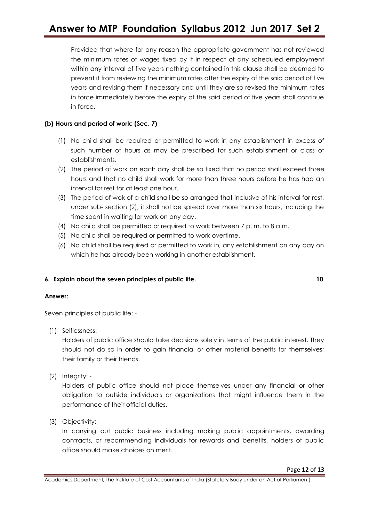Provided that where for any reason the appropriate government has not reviewed the minimum rates of wages fixed by it in respect of any scheduled employment within any interval of five years nothing contained in this clause shall be deemed to prevent it from reviewing the minimum rates after the expiry of the said period of five years and revising them if necessary and until they are so revised the minimum rates in force immediately before the expiry of the said period of five years shall continue in force.

### **(b) Hours and period of work: (Sec. 7)**

- (1) No child shall be required or permitted to work in any establishment in excess of such number of hours as may be prescribed for such establishment or class of establishments.
- (2) The period of work on each day shall be so fixed that no period shall exceed three hours and that no child shall work for more than three hours before he has had an interval for rest for at least one hour.
- (3) The period of wok of a child shall be so arranged that inclusive of his interval for rest, under sub- section (2), it shall not be spread over more than six hours, including the time spent in waiting for work on any day.
- (4) No child shall be permitted or required to work between 7 p. m. to 8 a.m.
- (5) No child shall be required or permitted to work overtime.
- (6) No child shall be required or permitted to work in, any establishment on any day on which he has already been working in another establishment.

#### **6. Explain about the seven principles of public life. 10**

#### **Answer:**

Seven principles of public life: -

(1) Selflessness: -

Holders of public office should take decisions solely in terms of the public interest. They should not do so in order to gain financial or other material benefits for themselves; their family or their friends.

(2) Integrity: -

Holders of public office should not place themselves under any financial or other obligation to outside individuals or organizations that might influence them in the performance of their official duties.

(3) Objectivity: -

In carrying out public business including making public appointments, awarding contracts, or recommending individuals for rewards and benefits, holders of public office should make choices on merit.

Academics Department, The Institute of Cost Accountants of India (Statutory Body under an Act of Parliament)